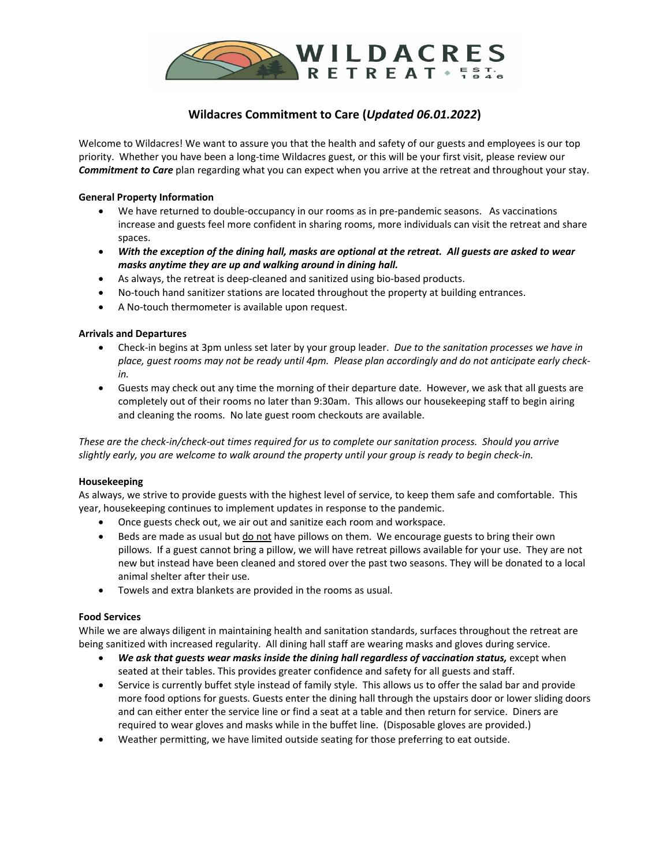

# **Wildacres Commitment to Care (***Updated 06.01.2022***)**

Welcome to Wildacres! We want to assure you that the health and safety of our guests and employees is our top priority. Whether you have been a long-time Wildacres guest, or this will be your first visit, please review our *Commitment to Care* plan regarding what you can expect when you arrive at the retreat and throughout your stay.

## **General Property Information**

- We have returned to double-occupancy in our rooms as in pre-pandemic seasons. As vaccinations increase and guests feel more confident in sharing rooms, more individuals can visit the retreat and share spaces.
- *With the exception of the dining hall, masks are optional at the retreat. All guests are asked to wear masks anytime they are up and walking around in dining hall.*
- As always, the retreat is deep-cleaned and sanitized using bio-based products.
- No-touch hand sanitizer stations are located throughout the property at building entrances.
- A No-touch thermometer is available upon request.

## **Arrivals and Departures**

- Check-in begins at 3pm unless set later by your group leader. *Due to the sanitation processes we have in place, guest rooms may not be ready until 4pm. Please plan accordingly and do not anticipate early checkin.*
- Guests may check out any time the morning of their departure date. However, we ask that all guests are completely out of their rooms no later than 9:30am. This allows our housekeeping staff to begin airing and cleaning the rooms. No late guest room checkouts are available.

*These are the check-in/check-out times required for us to complete our sanitation process. Should you arrive slightly early, you are welcome to walk around the property until your group is ready to begin check-in.* 

## **Housekeeping**

As always, we strive to provide guests with the highest level of service, to keep them safe and comfortable. This year, housekeeping continues to implement updates in response to the pandemic.

- Once guests check out, we air out and sanitize each room and workspace.
- Beds are made as usual but do not have pillows on them. We encourage guests to bring their own pillows. If a guest cannot bring a pillow, we will have retreat pillows available for your use. They are not new but instead have been cleaned and stored over the past two seasons. They will be donated to a local animal shelter after their use.
- Towels and extra blankets are provided in the rooms as usual.

## **Food Services**

While we are always diligent in maintaining health and sanitation standards, surfaces throughout the retreat are being sanitized with increased regularity. All dining hall staff are wearing masks and gloves during service.

- *We ask that guests wear masks inside the dining hall regardless of vaccination status,* except when seated at their tables. This provides greater confidence and safety for all guests and staff.
- Service is currently buffet style instead of family style. This allows us to offer the salad bar and provide more food options for guests. Guests enter the dining hall through the upstairs door or lower sliding doors and can either enter the service line or find a seat at a table and then return for service. Diners are required to wear gloves and masks while in the buffet line. (Disposable gloves are provided.)
- Weather permitting, we have limited outside seating for those preferring to eat outside.